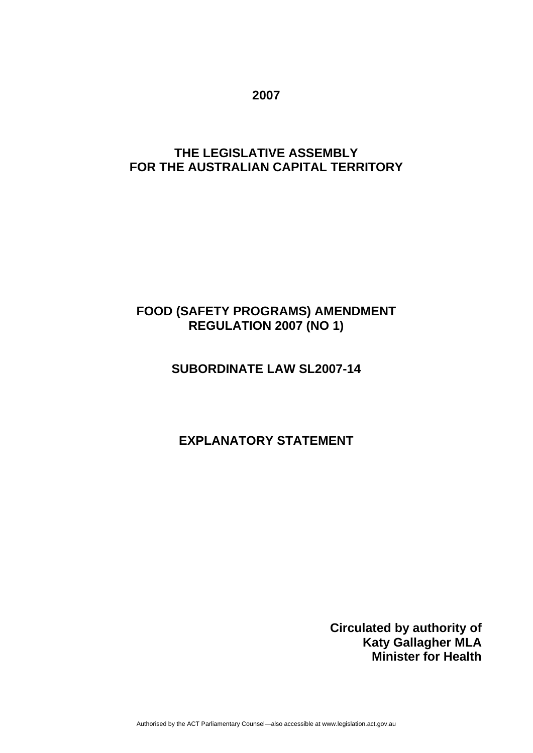**2007** 

## **THE LEGISLATIVE ASSEMBLY FOR THE AUSTRALIAN CAPITAL TERRITORY**

# **FOOD (SAFETY PROGRAMS) AMENDMENT REGULATION 2007 (NO 1)**

# **SUBORDINATE LAW SL2007-14**

## **EXPLANATORY STATEMENT**

**Circulated by authority of Katy Gallagher MLA Minister for Health**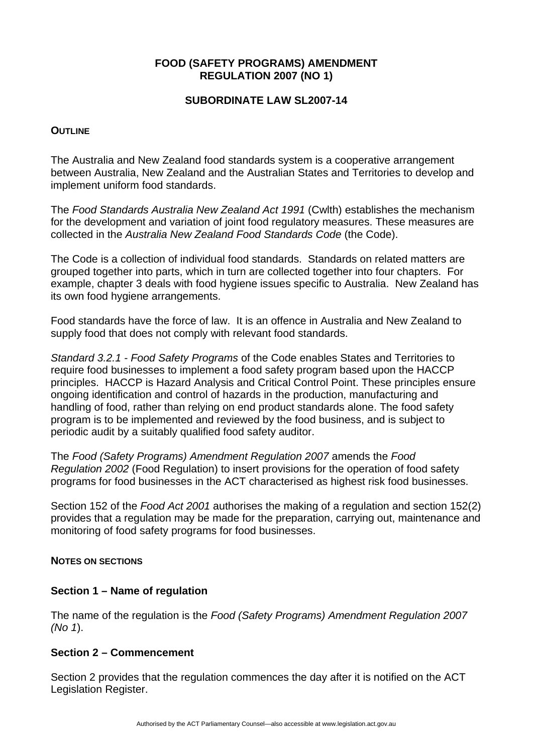## **FOOD (SAFETY PROGRAMS) AMENDMENT REGULATION 2007 (NO 1)**

## **SUBORDINATE LAW SL2007-14**

#### **OUTLINE**

The Australia and New Zealand food standards system is a cooperative arrangement between Australia, New Zealand and the Australian States and Territories to develop and implement uniform food standards.

The *Food Standards Australia New Zealand Act 1991* (Cwlth) establishes the mechanism for the development and variation of joint food regulatory measures. These measures are collected in the *Australia New Zealand Food Standards Code* (the Code).

The Code is a collection of individual food standards. Standards on related matters are grouped together into parts, which in turn are collected together into four chapters. For example, chapter 3 deals with food hygiene issues specific to Australia. New Zealand has its own food hygiene arrangements.

Food standards have the force of law. It is an offence in Australia and New Zealand to supply food that does not comply with relevant food standards.

*Standard 3.2.1 - Food Safety Programs* of the Code enables States and Territories to require food businesses to implement a food safety program based upon the HACCP principles. HACCP is Hazard Analysis and Critical Control Point. These principles ensure ongoing identification and control of hazards in the production, manufacturing and handling of food, rather than relying on end product standards alone. The food safety program is to be implemented and reviewed by the food business, and is subject to periodic audit by a suitably qualified food safety auditor.

The *Food (Safety Programs) Amendment Regulation 2007* amends the *Food Regulation 2002* (Food Regulation) to insert provisions for the operation of food safety programs for food businesses in the ACT characterised as highest risk food businesses.

Section 152 of the *Food Act 2001* authorises the making of a regulation and section 152(2) provides that a regulation may be made for the preparation, carrying out, maintenance and monitoring of food safety programs for food businesses.

#### **NOTES ON SECTIONS**

## **Section 1 – Name of regulation**

The name of the regulation is the *Food (Safety Programs) Amendment Regulation 2007 (No 1*).

## **Section 2 – Commencement**

Section 2 provides that the regulation commences the day after it is notified on the ACT Legislation Register.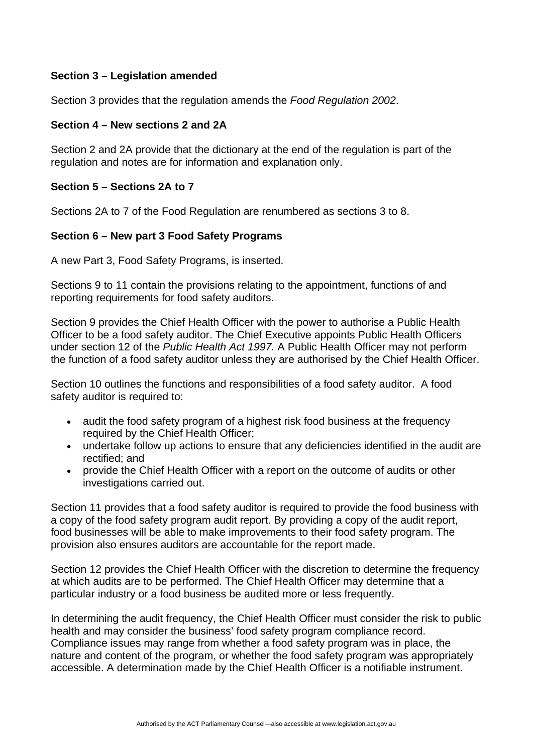## **Section 3 – Legislation amended**

Section 3 provides that the regulation amends the *Food Regulation 2002*.

#### **Section 4 – New sections 2 and 2A**

Section 2 and 2A provide that the dictionary at the end of the regulation is part of the regulation and notes are for information and explanation only.

#### **Section 5 – Sections 2A to 7**

Sections 2A to 7 of the Food Regulation are renumbered as sections 3 to 8.

## **Section 6 – New part 3 Food Safety Programs**

A new Part 3, Food Safety Programs, is inserted.

Sections 9 to 11 contain the provisions relating to the appointment, functions of and reporting requirements for food safety auditors.

Section 9 provides the Chief Health Officer with the power to authorise a Public Health Officer to be a food safety auditor. The Chief Executive appoints Public Health Officers under section 12 of the *Public Health Act 1997.* A Public Health Officer may not perform the function of a food safety auditor unless they are authorised by the Chief Health Officer.

Section 10 outlines the functions and responsibilities of a food safety auditor. A food safety auditor is required to:

- audit the food safety program of a highest risk food business at the frequency required by the Chief Health Officer;
- undertake follow up actions to ensure that any deficiencies identified in the audit are rectified; and
- provide the Chief Health Officer with a report on the outcome of audits or other investigations carried out.

Section 11 provides that a food safety auditor is required to provide the food business with a copy of the food safety program audit report. By providing a copy of the audit report, food businesses will be able to make improvements to their food safety program. The provision also ensures auditors are accountable for the report made.

Section 12 provides the Chief Health Officer with the discretion to determine the frequency at which audits are to be performed. The Chief Health Officer may determine that a particular industry or a food business be audited more or less frequently.

In determining the audit frequency, the Chief Health Officer must consider the risk to public health and may consider the business' food safety program compliance record. Compliance issues may range from whether a food safety program was in place, the nature and content of the program, or whether the food safety program was appropriately accessible. A determination made by the Chief Health Officer is a notifiable instrument.